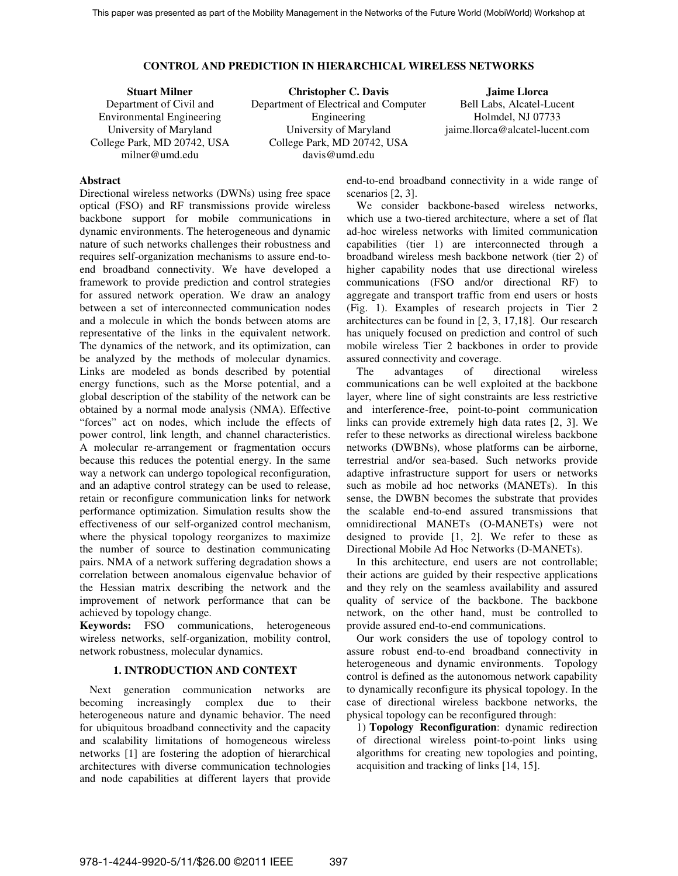### **CONTROL AND PREDICTION IN HIERARCHICAL WIRELESS NETWORKS**

**Stuart Milner** Department of Civil and Environmental Engineering University of Maryland College Park, MD 20742, USA milner@umd.edu **Christopher C. Davis**  Department of Electrical and Computer Engineering University of Maryland College Park, MD 20742, USA davis@umd.edu **Jaime Llorca**  Bell Labs, Alcatel-Lucent Holmdel, NJ 07733 jaime.llorca@alcatel-lucent.com

# **Abstract**

Directional wireless networks (DWNs) using free space optical (FSO) and RF transmissions provide wireless backbone support for mobile communications in dynamic environments. The heterogeneous and dynamic nature of such networks challenges their robustness and requires self-organization mechanisms to assure end-toend broadband connectivity. We have developed a framework to provide prediction and control strategies for assured network operation. We draw an analogy between a set of interconnected communication nodes and a molecule in which the bonds between atoms are representative of the links in the equivalent network. The dynamics of the network, and its optimization, can be analyzed by the methods of molecular dynamics. Links are modeled as bonds described by potential energy functions, such as the Morse potential, and a global description of the stability of the network can be obtained by a normal mode analysis (NMA). Effective "forces" act on nodes, which include the effects of power control, link length, and channel characteristics. A molecular re-arrangement or fragmentation occurs because this reduces the potential energy. In the same way a network can undergo topological reconfiguration, and an adaptive control strategy can be used to release, retain or reconfigure communication links for network performance optimization. Simulation results show the effectiveness of our self-organized control mechanism, where the physical topology reorganizes to maximize the number of source to destination communicating pairs. NMA of a network suffering degradation shows a correlation between anomalous eigenvalue behavior of the Hessian matrix describing the network and the improvement of network performance that can be achieved by topology change.

**Keywords:** FSO communications, heterogeneous wireless networks, self-organization, mobility control, network robustness, molecular dynamics.

### **1. INTRODUCTION AND CONTEXT**

Next generation communication networks are becoming increasingly complex due to their heterogeneous nature and dynamic behavior. The need for ubiquitous broadband connectivity and the capacity and scalability limitations of homogeneous wireless networks [1] are fostering the adoption of hierarchical architectures with diverse communication technologies and node capabilities at different layers that provide end-to-end broadband connectivity in a wide range of scenarios [2, 3].

We consider backbone-based wireless networks, which use a two-tiered architecture, where a set of flat ad-hoc wireless networks with limited communication capabilities (tier 1) are interconnected through a broadband wireless mesh backbone network (tier 2) of higher capability nodes that use directional wireless communications (FSO and/or directional RF) to aggregate and transport traffic from end users or hosts (Fig. 1). Examples of research projects in Tier 2 architectures can be found in [2, 3, 17,18]. Our research has uniquely focused on prediction and control of such mobile wireless Tier 2 backbones in order to provide assured connectivity and coverage.

The advantages of directional wireless communications can be well exploited at the backbone layer, where line of sight constraints are less restrictive and interference-free, point-to-point communication links can provide extremely high data rates [2, 3]. We refer to these networks as directional wireless backbone networks (DWBNs), whose platforms can be airborne, terrestrial and/or sea-based. Such networks provide adaptive infrastructure support for users or networks such as mobile ad hoc networks (MANETs). In this sense, the DWBN becomes the substrate that provides the scalable end-to-end assured transmissions that omnidirectional MANETs (O-MANETs) were not designed to provide [1, 2]. We refer to these as Directional Mobile Ad Hoc Networks (D-MANETs).

In this architecture, end users are not controllable; their actions are guided by their respective applications and they rely on the seamless availability and assured quality of service of the backbone. The backbone network, on the other hand, must be controlled to provide assured end-to-end communications.

Our work considers the use of topology control to assure robust end-to-end broadband connectivity in heterogeneous and dynamic environments. Topology control is defined as the autonomous network capability to dynamically reconfigure its physical topology. In the case of directional wireless backbone networks, the physical topology can be reconfigured through:

1) **Topology Reconfiguration**: dynamic redirection of directional wireless point-to-point links using algorithms for creating new topologies and pointing, acquisition and tracking of links [14, 15].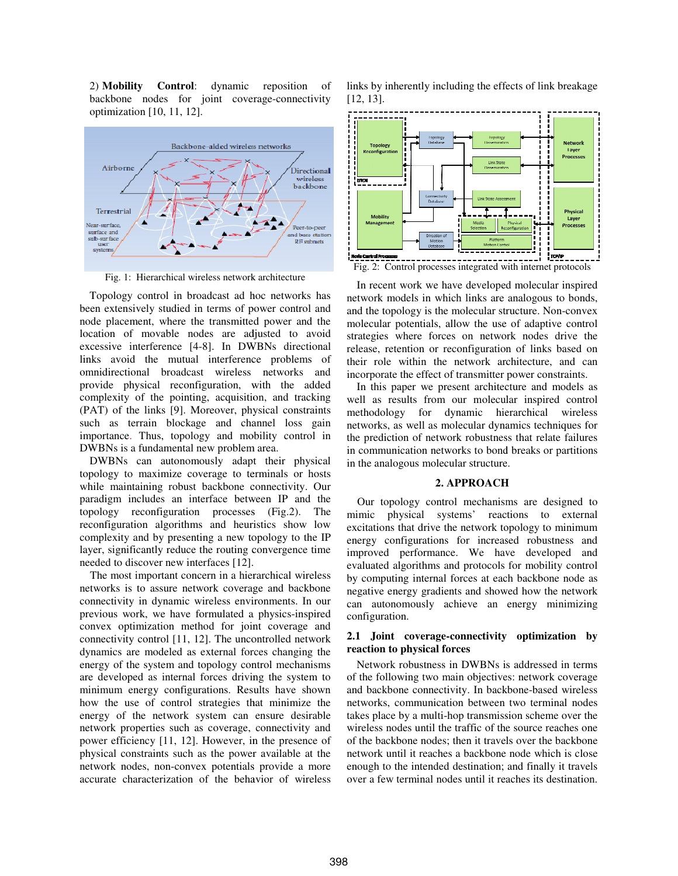2) Mobility Control: dynamic reposition of backbone nodes for joint coverage-connectivity optimization [10, 11, 12].



Fig. 1: Hierarchical wireless network architecture

Topology control in broadcast ad hoc networks has been extensively studied in terms of power control and node placement, where the transmitted power and the location of movable nodes are adjusted to avoid excessive interference [4-8]. In DWBNs directional links avoid the mutual interference problems of omnidirectional broadcast wireless networks and provide physical reconfiguration, with the added complexity of the pointing, acquisition, and tracking (PAT) of the links [9]. Moreover, physical constraints such as terrain blockage and channel loss gain importance. Thus, topology and mobility control in DWBNs is a fundamental new problem area. DWBNs is a fundamental new problem gy control in broadcast ad hoc networks has nsively studied in terms of power control and ement, where the transmitted power and the of movable nodes are adjusted to avoid interference [4-8]. In DWBNs directional mutual interference problems of<br>broadcast wireless networks and<br>reconfiguration, with the added<br>e pointing, acquisition, and tracking<br>s [9]. Moreover, physical constraints<br>blockage and channel loss gain

DWBNs can autonomously adapt their physical topology to maximize coverage to terminals or hosts while maintaining robust backbone connectivity. Our paradigm includes an interface between IP and the topology reconfiguration processes (Fig.2). The reconfiguration algorithms and heuristics show low complexity and by presenting a new topology to the IP layer, significantly reduce the routing convergence time needed to discover new interfaces [12]. BNs can autonomously adapt their physical<br>gy to maximize coverage to terminals or hosts<br>maintaining robust backbone connectivity. Our<br>gm includes an interface between IP and the<br>gy reconfiguration processes (Fig.2). The iguration algorithms and heuristics show low exity and by presenting a new topology to the IP significantly reduce the routing convergence time 1 to discover new interfaces [12]. most important concern in a hierarchical wi

The most important concern in a hierarchical wi networks is to assure network coverage and backbone connectivity in dynamic wireless environments. In our networks is to assure network coverage and backbone<br>connectivity in dynamic wireless environments. In our<br>previous work, we have formulated a physics-inspired convex optimization method for joint coverage and convex optimization method for joint coverage and connectivity control [11, 12]. The uncontrolled network dynamics are modeled as external forces changing the energy of the system and topology control mechanisms are developed as internal forces driving the system to minimum energy configurations. Results have shown how the use of control strategies that minimize the energy of the network system can ensure desirable network properties such as coverage, connectivity and power efficiency [11, 12]. However, in the presence of physical constraints such as the power available at the network nodes, non-convex potentials provide a more accurate characterization of the behavior of wireless A behavior configuration process of developed constraints. The continent of the convergence of a more links by interest in the convergence of a more links by interest in the convergence of a more links by interest in the

[12, 13]. links by inherently including the effects of link breakage



Fig. 2: Control processes integrated with internet protocols

In recent work we have developed m developed molecular inspired network models in which links are analogous to bonds, and the topology is the molecular structure. Non-convex molecular potentials, allow the use of adaptive control strategies where forces on network nodes drive the release, retention or reconfiguration of links based on their role within the network architecture, and can incorporate the effect of transmitter power constraints.

In this paper we present architecture and models as well as results from our molecular inspired control their role within the network architecture, and can<br>incorporate the effect of transmitter power constraints.<br>In this paper we present architecture and models as<br>well as results from our molecular inspired control<br>methodolo networks, as well as molecular dynamics techniques for the prediction of network robustness that relate failures in communication networks to bond breaks or partitions in the analogous molecular structure.

## **2. APPROACH**

the analogous molecular structure.<br>
2. APPROACH<br>
Our topology control mechanisms are designed to mimic physical systems' reactions to external excitations that drive the network topology to minimum energy configurations for increased robustness and improved performance. We have developed and evaluated algorithms and protocols for mobility control by computing internal forces at each backbone node as negative energy gradients and showed how the network negative how the network can autonomously achieve an energy minimizing configuration.

## 2.1 Joint coverage-connectivity optimization by **reaction to physical forces**

Network robustness in DWBNs is addressed in terms of the following two main objectives: network coverage and backbone connectivity. In backbone backbone-based wireless networks, communication between two terminal nodes takes place by a multi-hop transmission scheme over the wireless nodes until the traffic of the source reaches one of the backbone nodes; then it travels over the backbone network until it reaches a backbone node which is close enough to the intended destination; and finally it travels over a few terminal nodes until it reaches its destination.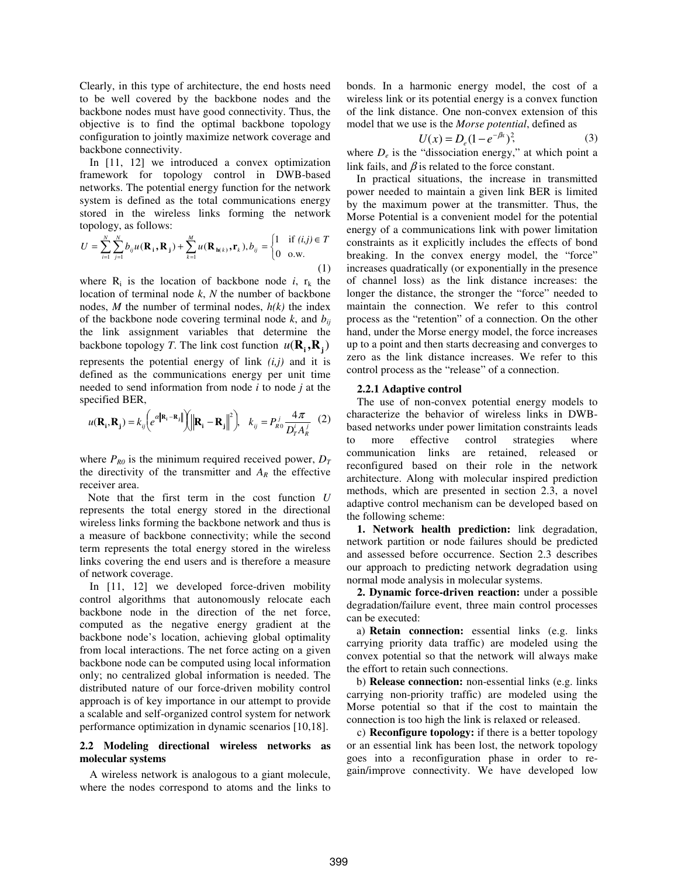Clearly, in this type of architecture, the end hosts need to be well covered by the backbone nodes and the backbone nodes must have good connectivity. Thus, the objective is to find the optimal backbone topology configuration to jointly maximize network coverage and backbone connectivity.

In [11, 12] we introduced a convex optimization framework for topology control in DWB-based networks. The potential energy function for the network system is defined as the total communications energy stored in the wireless links forming the network topology, as follows:

$$
U = \sum_{i=1}^{N} \sum_{j=1}^{N} b_{ij} u(\mathbf{R}_i, \mathbf{R}_j) + \sum_{k=1}^{M} u(\mathbf{R}_{h(k)}, \mathbf{r}_k), b_{ij} = \begin{cases} 1 & \text{if } (i,j) \in T \\ 0 & \text{o.w.} \end{cases}
$$
(1)

where  $R_i$  is the location of backbone node  $i$ ,  $r_k$  the location of terminal node *k*, *N* the number of backbone nodes,  $M$  the number of terminal nodes,  $h(k)$  the index of the backbone node covering terminal node  $k$ , and  $b_{ii}$ the link assignment variables that determine the backbone topology *T*. The link cost function  $u(\mathbf{R}_i, \mathbf{R}_j)$ represents the potential energy of link *(i,j)* and it is defined as the communications energy per unit time needed to send information from node *i* to node *j* at the specified BER,

$$
u(\mathbf{R_i}, \mathbf{R_j}) = k_{ij} \left( e^{a\left\| \mathbf{R_i} - \mathbf{R_j} \right\|} \right) \left\| \mathbf{R_i} - \mathbf{R_j} \right\|^2 \right), \quad k_{ij} = P_{R0}^j \frac{4\pi}{D_T^i A_R^j} \tag{2}
$$

where  $P_{R0}$  is the minimum required received power,  $D_T$ the directivity of the transmitter and  $A_R$  the effective receiver area.

 Note that the first term in the cost function *U* represents the total energy stored in the directional wireless links forming the backbone network and thus is a measure of backbone connectivity; while the second term represents the total energy stored in the wireless links covering the end users and is therefore a measure of network coverage.

In [11, 12] we developed force-driven mobility control algorithms that autonomously relocate each backbone node in the direction of the net force, computed as the negative energy gradient at the backbone node's location, achieving global optimality from local interactions. The net force acting on a given backbone node can be computed using local information only; no centralized global information is needed. The distributed nature of our force-driven mobility control approach is of key importance in our attempt to provide a scalable and self-organized control system for network performance optimization in dynamic scenarios [10,18].

## **2.2 Modeling directional wireless networks as molecular systems**

A wireless network is analogous to a giant molecule, where the nodes correspond to atoms and the links to bonds. In a harmonic energy model, the cost of a wireless link or its potential energy is a convex function of the link distance. One non-convex extension of this model that we use is the *Morse potential*, defined as

$$
U(x) = D_e (1 - e^{-\beta x})^2,
$$
 (3)

where  $D_e$  is the "dissociation energy," at which point a link fails, and  $\beta$  is related to the force constant.

In practical situations, the increase in transmitted power needed to maintain a given link BER is limited by the maximum power at the transmitter. Thus, the Morse Potential is a convenient model for the potential energy of a communications link with power limitation constraints as it explicitly includes the effects of bond breaking. In the convex energy model, the "force" increases quadratically (or exponentially in the presence of channel loss) as the link distance increases: the longer the distance, the stronger the "force" needed to maintain the connection. We refer to this control process as the "retention" of a connection. On the other hand, under the Morse energy model, the force increases up to a point and then starts decreasing and converges to zero as the link distance increases. We refer to this control process as the "release" of a connection.

#### **2.2.1 Adaptive control**

The use of non-convex potential energy models to characterize the behavior of wireless links in DWBbased networks under power limitation constraints leads to more effective control strategies where communication links are retained, released or reconfigured based on their role in the network architecture. Along with molecular inspired prediction methods, which are presented in section 2.3, a novel adaptive control mechanism can be developed based on the following scheme:

**1. Network health prediction:** link degradation, network partition or node failures should be predicted and assessed before occurrence. Section 2.3 describes our approach to predicting network degradation using normal mode analysis in molecular systems.

**2. Dynamic force-driven reaction:** under a possible degradation/failure event, three main control processes can be executed:

a) **Retain connection:** essential links (e.g. links carrying priority data traffic) are modeled using the convex potential so that the network will always make the effort to retain such connections.

b) **Release connection:** non-essential links (e.g. links carrying non-priority traffic) are modeled using the Morse potential so that if the cost to maintain the connection is too high the link is relaxed or released.

c) **Reconfigure topology:** if there is a better topology or an essential link has been lost, the network topology goes into a reconfiguration phase in order to regain/improve connectivity. We have developed low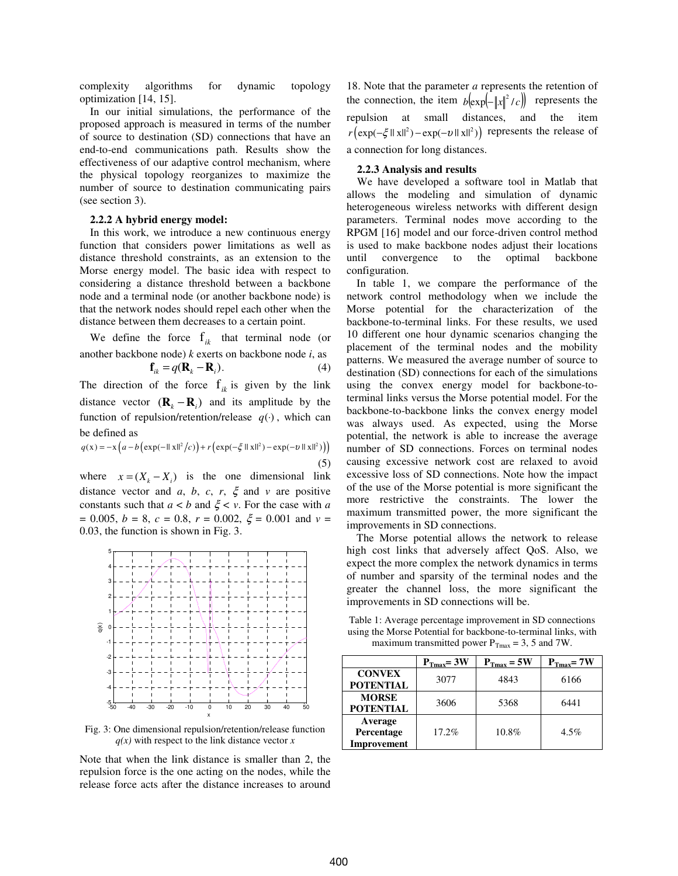complexity algorithms for dynamic topology optimization [14, 15].

In our initial simulations, the performance of the proposed approach is measured in terms of the number of source to destination (SD) connections that have an end-to-end communications path. Results show the effectiveness of our adaptive control mechanism, where the physical topology reorganizes to maximize the number of source to destination communicating pairs (see section 3).

### **2.2.2 A hybrid energy model:**

In this work, we introduce a new continuous energy function that considers power limitations as well as distance threshold constraints, as an extension to the Morse energy model. The basic idea with respect to considering a distance threshold between a backbone node and a terminal node (or another backbone node) is that the network nodes should repel each other when the distance between them decreases to a certain point.

We define the force  $f_{ik}$  that terminal node (or another backbone node) *k* exerts on backbone node *i*, as

$$
\mathbf{f}_{ik} = q(\mathbf{R}_k - \mathbf{R}_i). \tag{4}
$$

The direction of the force  $f_{ik}$  is given by the link distance vector  $(\mathbf{R}_k - \mathbf{R}_i)$  and its amplitude by the function of repulsion/retention/release  $q(·)$ , which can be defined as

$$
q(x) = -x \left( a - b \left( \exp(-\|\mathbf{x}\|^2/c) \right) + r \left( \exp(-\xi \|\mathbf{x}\|^2) - \exp(-v \|\mathbf{x}\|^2) \right) \right) \tag{5}
$$

where  $x = (X_k - X_i)$  is the one dimensional link distance vector and *a*, *b*, *c*, *r*,  $\xi$  and *v* are positive constants such that  $a < b$  and  $\xi < v$ . For the case with *a*  $= 0.005, b = 8, c = 0.8, r = 0.002, \xi = 0.001$  and  $v =$ 0.03, the function is shown in Fig. 3.



Fig. 3: One dimensional repulsion/retention/release function  $q(x)$  with respect to the link distance vector  $x$ 

Note that when the link distance is smaller than 2, the repulsion force is the one acting on the nodes, while the release force acts after the distance increases to around

18. Note that the parameter *a* represents the retention of the connection, the item  $b\left(\exp\left(-\|x\|^2/c\right)\right)$  represents the repulsion at small distances, and the item  $r\left(\exp(-\xi ||x||^2) - \exp(-v ||x||^2)\right)$  represents the release of a connection for long distances.

#### **2.2.3 Analysis and results**

We have developed a software tool in Matlab that allows the modeling and simulation of dynamic heterogeneous wireless networks with different design parameters. Terminal nodes move according to the RPGM [16] model and our force-driven control method is used to make backbone nodes adjust their locations until convergence to the optimal backbone configuration.

In table 1, we compare the performance of the network control methodology when we include the Morse potential for the characterization of the backbone-to-terminal links. For these results, we used 10 different one hour dynamic scenarios changing the placement of the terminal nodes and the mobility patterns. We measured the average number of source to destination (SD) connections for each of the simulations using the convex energy model for backbone-toterminal links versus the Morse potential model. For the backbone-to-backbone links the convex energy model was always used. As expected, using the Morse potential, the network is able to increase the average number of SD connections. Forces on terminal nodes causing excessive network cost are relaxed to avoid excessive loss of SD connections. Note how the impact of the use of the Morse potential is more significant the more restrictive the constraints. The lower the maximum transmitted power, the more significant the improvements in SD connections.

The Morse potential allows the network to release high cost links that adversely affect QoS. Also, we expect the more complex the network dynamics in terms of number and sparsity of the terminal nodes and the greater the channel loss, the more significant the improvements in SD connections will be.

Table 1: Average percentage improvement in SD connections using the Morse Potential for backbone-to-terminal links, with maximum transmitted power  $P_{Tmax} = 3$ , 5 and 7W.

|                                             | $P_{\text{Tmax}} = 3W$ | $P_{\text{Tmax}} = 5W$ | $P_{Tmax}$ = 7W |
|---------------------------------------------|------------------------|------------------------|-----------------|
| <b>CONVEX</b><br><b>POTENTIAL</b>           | 3077                   | 4843                   | 6166            |
| <b>MORSE</b><br><b>POTENTIAL</b>            | 3606                   | 5368                   | 6441            |
| Average<br>Percentage<br><b>Improvement</b> | 17.2%                  | 10.8%                  | $4.5\%$         |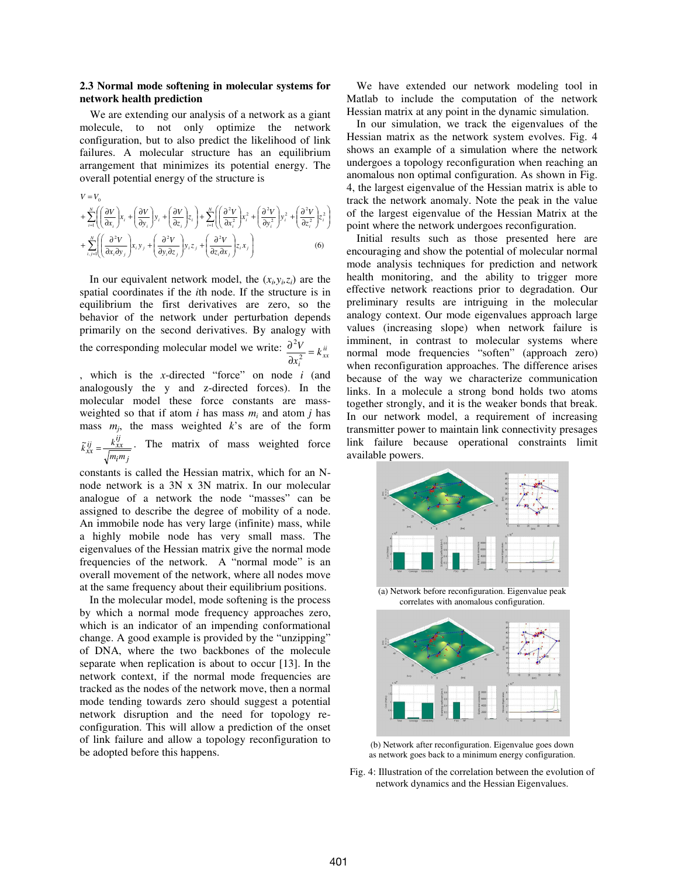# **2.3 Normal mode softening in molecular systems for network health prediction**

We are extending our analysis of a network as a giant molecule, to not only optimize the network configuration, but to also predict the likelihood of link failures. A molecular structure has an equilibrium arrangement that minimizes its potential energy. The overall potential energy of the structure is

$$
V = V_0
$$
  
+ 
$$
\sum_{i=1}^{N} \left( \left( \frac{\partial V}{\partial x_i} \right) x_i + \left( \frac{\partial V}{\partial y_i} \right) y_i + \left( \frac{\partial V}{\partial z_i} \right) z_i \right) + \sum_{i=1}^{N} \left( \left( \frac{\partial^2 V}{\partial x_i^2} \right) x_i^2 + \left( \frac{\partial^2 V}{\partial y_i^2} \right) y_i^2 + \left( \frac{\partial^2 V}{\partial z_i^2} \right) z_i^2 \right)
$$
  
+ 
$$
\sum_{i,j=1}^{N} \left( \left( \frac{\partial^2 V}{\partial x_i \partial y_j} \right) x_i y_j + \left( \frac{\partial^2 V}{\partial y_i \partial z_j} \right) y_i z_j + \left( \frac{\partial^2 V}{\partial z_i \partial x_j} \right) z_i x_j \right)
$$
(6)

In our equivalent network model, the  $(x_i, y_i, z_i)$  are the spatial coordinates if the *i*th node. If the structure is in equilibrium the first derivatives are zero, so the behavior of the network under perturbation depends primarily on the second derivatives. By analogy with the corresponding molecular model we write:  $\frac{\partial^2 V}{\partial x_i^2} = k_{xx}^{ii}$ *k x*  $\frac{V}{2}$ ∂ ∂ 2 2

, which is the *x*-directed "force" on node *i* (and analogously the y and z-directed forces). In the molecular model these force constants are massweighted so that if atom  $i$  has mass  $m_i$  and atom  $j$  has mass  $m_j$ , the mass weighted  $k$ 's are of the form *i j*  $\frac{ij}{xx} = \frac{k_{xx}^{ij}}{\sqrt{m_i m_i}}$  $\tilde{k}_{xx}^{ij} = \frac{k_{xx}^{ij}}{\sqrt{2k_x}}$ . The matrix of mass weighted force

constants is called the Hessian matrix, which for an Nnode network is a 3N x 3N matrix. In our molecular analogue of a network the node "masses" can be assigned to describe the degree of mobility of a node. An immobile node has very large (infinite) mass, while a highly mobile node has very small mass. The eigenvalues of the Hessian matrix give the normal mode frequencies of the network. A "normal mode" is an overall movement of the network, where all nodes move at the same frequency about their equilibrium positions.

In the molecular model, mode softening is the process by which a normal mode frequency approaches zero, which is an indicator of an impending conformational change. A good example is provided by the "unzipping" of DNA, where the two backbones of the molecule separate when replication is about to occur [13]. In the network context, if the normal mode frequencies are tracked as the nodes of the network move, then a normal mode tending towards zero should suggest a potential network disruption and the need for topology reconfiguration. This will allow a prediction of the onset of link failure and allow a topology reconfiguration to be adopted before this happens.

We have extended our network modeling tool in Matlab to include the computation of the network Hessian matrix at any point in the dynamic simulation.

In our simulation, we track the eigenvalues of the Hessian matrix as the network system evolves. Fig. 4 shows an example of a simulation where the network undergoes a topology reconfiguration when reaching an anomalous non optimal configuration. As shown in Fig. 4, the largest eigenvalue of the Hessian matrix is able to track the network anomaly. Note the peak in the value of the largest eigenvalue of the Hessian Matrix at the point where the network undergoes reconfiguration.

Initial results such as those presented here are encouraging and show the potential of molecular normal mode analysis techniques for prediction and network health monitoring, and the ability to trigger more effective network reactions prior to degradation. Our preliminary results are intriguing in the molecular analogy context. Our mode eigenvalues approach large values (increasing slope) when network failure is imminent, in contrast to molecular systems where normal mode frequencies "soften" (approach zero) when reconfiguration approaches. The difference arises because of the way we characterize communication links. In a molecule a strong bond holds two atoms together strongly, and it is the weaker bonds that break. In our network model, a requirement of increasing transmitter power to maintain link connectivity presages link failure because operational constraints limit available powers.



(a) Network before reconfiguration. Eigenvalue peak correlates with anomalous configuration.



(b) Network after reconfiguration. Eigenvalue goes down as network goes back to a minimum energy configuration.

Fig. 4: Illustration of the correlation between the evolution of network dynamics and the Hessian Eigenvalues.